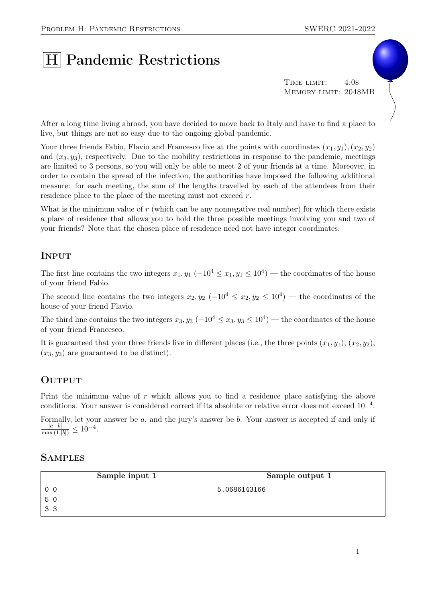# H Pandemic Restrictions

TIME LIMIT: 4.0s Memory limit: 2048MB

After a long time living abroad, you have decided to move back to Italy and have to find a place to live, but things are not so easy due to the ongoing global pandemic.

Your three friends Fabio, Flavio and Francesco live at the points with coordinates  $(x_1, y_1), (x_2, y_2)$ and  $(x_3, y_3)$ , respectively. Due to the mobility restrictions in response to the pandemic, meetings are limited to 3 persons, so you will only be able to meet 2 of your friends at a time. Moreover, in order to contain the spread of the infection, the authorities have imposed the following additional measure: for each meeting, the sum of the lengths travelled by each of the attendees from their residence place to the place of the meeting must not exceed r.

What is the minimum value of  $r$  (which can be any nonnegative real number) for which there exists a place of residence that allows you to hold the three possible meetings involving you and two of your friends? Note that the chosen place of residence need not have integer coordinates.

# Input

The first line contains the two integers  $x_1, y_1 \ (-10^4 \le x_1, y_1 \le 10^4)$  — the coordinates of the house of your friend Fabio.

The second line contains the two integers  $x_2, y_2$  ( $-10^4 \le x_2, y_2 \le 10^4$ ) — the coordinates of the house of your friend Flavio.

The third line contains the two integers  $x_3, y_3$  ( $-10^4 \le x_3, y_3 \le 10^4$ ) — the coordinates of the house of your friend Francesco.

It is guaranteed that your three friends live in different places (i.e., the three points  $(x_1, y_1), (x_2, y_2),$  $(x_3, y_3)$  are guaranteed to be distinct).

## **OUTPUT**

Print the minimum value of r which allows you to find a residence place satisfying the above conditions. Your answer is considered correct if its absolute or relative error does not exceed 10−<sup>4</sup> .

Formally, let your answer be a, and the jury's answer be b. Your answer is accepted if and only if  $\frac{|a-b|}{\max(1,|b|)} \leq 10^{-4}.$ 

## **SAMPLES**

| Sample input 1 | Sample output 1 |
|----------------|-----------------|
| 0 <sub>0</sub> | 5.0686143166    |
| 50             |                 |
| 33             |                 |